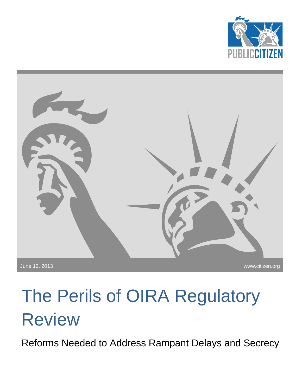



# The Perils of OIRA Regulatory Review

Reforms Needed to Address Rampant Delays and Secrecy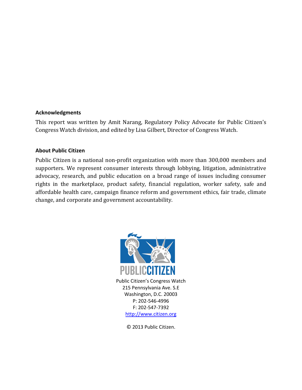#### **Acknowledgments**

This report was written by Amit Narang, Regulatory Policy Advocate for Public Citizen's Congress Watch division, and edited by Lisa Gilbert, Director of Congress Watch.

#### **About Public Citizen**

Public Citizen is a national non-profit organization with more than 300,000 members and supporters. We represent consumer interests through lobbying, litigation, administrative advocacy, research, and public education on a broad range of issues including consumer rights in the marketplace, product safety, financial regulation, worker safety, safe and affordable health care, campaign finance reform and government ethics, fair trade, climate change, and corporate and government accountability.



[http://www.citizen.org](http://www.citizen.org/)

© 2013 Public Citizen.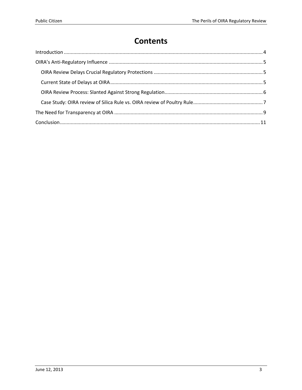# **Contents**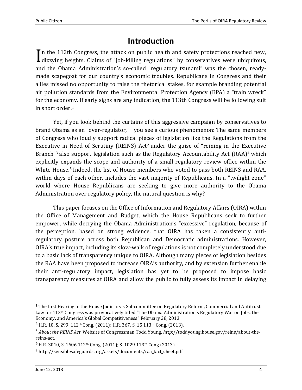## **Introduction**

<span id="page-3-0"></span>In the 112th Congress, the attack on public health and safety protections reached new, In the 112th Congress, the attack on public health and safety protections reached new, dizzying heights. Claims of "job-killing regulations" by conservatives were ubiquitous, and the Obama Administration's so-called "regulatory tsunami" was the chosen, readymade scapegoat for our country's economic troubles. Republicans in Congress and their allies missed no opportunity to raise the rhetorical stakes, for example branding potential air pollution standards from the Environmental Protection Agency (EPA) a "train wreck" for the economy. If early signs are any indication, the 113th Congress will be following suit in short order.<sup>1</sup>

Yet, if you look behind the curtains of this aggressive campaign by conservatives to brand Obama as an "over-regulator, " you see a curious phenomenon: The same members of Congress who loudly support radical pieces of legislation like the Regulations from the Executive in Need of Scrutiny (REINS) Act<sup>2</sup> under the guise of "reining in the Executive Branch<sup>"3</sup> also support legislation such as the Regulatory Accountability Act (RAA)<sup>4</sup> which explicitly expands the scope and authority of a small regulatory review office within the White House.<sup>5</sup> Indeed, the list of House members who voted to pass both REINS and RAA, within days of each other, includes the vast majority of Republicans. In a "twilight zone" world where House Republicans are seeking to give more authority to the Obama Administration over regulatory policy, the natural question is why?

This paper focuses on the Office of Information and Regulatory Affairs (OIRA) within the Office of Management and Budget, which the House Republicans seek to further empower, while decrying the Obama Administration's "excessive" regulation, because of the perception, based on strong evidence, that OIRA has taken a consistently antiregulatory posture across both Republican and Democratic administrations. However, OIRA's true impact, including its slow-walk of regulations is not completely understood due to a basic lack of transparency unique to OIRA. Although many pieces of legislation besides the RAA have been proposed to increase OIRA's authority, and by extension further enable their anti-regulatory impact, legislation has yet to be proposed to impose basic transparency measures at OIRA and allow the public to fully assess its impact in delaying

<sup>1</sup> The first Hearing in the House Judiciary's Subcommittee on Regulatory Reform, Commercial and Antitrust Law for 113th Congress was provocatively titled "The Obama Administration's Regulatory War on Jobs, the Economy, and America's Global Competitiveness" February 28, 2013.

<sup>2</sup> H.R. 10, S. 299, 112th Cong. (2011); H.R. 367, S. 15 113th Cong. (2013).

<sup>3</sup> *About the REINS Act,* Website of Congressman Todd Young, *http*://toddyoung.house.gov/reins/about-thereins-act.

<sup>4</sup> H.R. 3010, S. 1606 112th Cong. (2011); S. 1029 113th Cong (2013).

<sup>5</sup> http://sensiblesafeguards.org/assets/documents/raa\_fact\_sheet.pdf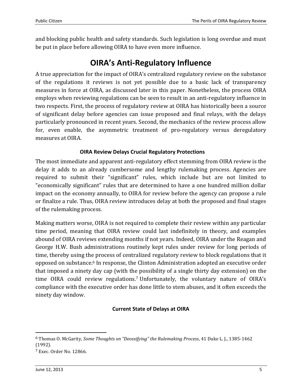and blocking public health and safety standards. Such legislation is long overdue and must be put in place before allowing OIRA to have even more influence.

## **OIRA's Anti-Regulatory Influence**

<span id="page-4-0"></span>A true appreciation for the impact of OIRA's centralized regulatory review on the substance of the regulations it reviews is not yet possible due to a basic lack of transparency measures in force at OIRA, as discussed later in this paper. Nonetheless, the process OIRA employs when reviewing regulations can be seen to result in an anti-regulatory influence in two respects. First, the process of regulatory review at OIRA has historically been a source of significant delay before agencies can issue proposed and final relays, with the delays particularly pronounced in recent years. Second, the mechanics of the review process allow for, even enable, the asymmetric treatment of pro-regulatory versus deregulatory measures at OIRA.

## **OIRA Review Delays Crucial Regulatory Protections**

<span id="page-4-1"></span>The most immediate and apparent anti-regulatory effect stemming from OIRA review is the delay it adds to an already cumbersome and lengthy rulemaking process. Agencies are required to submit their "significant" rules, which include but are not limited to "economically significant" rules that are determined to have a one hundred million dollar impact on the economy annually, to OIRA for review before the agency can propose a rule or finalize a rule. Thus, OIRA review introduces delay at both the proposed and final stages of the rulemaking process.

Making matters worse, OIRA is not required to complete their review within any particular time period, meaning that OIRA review could last indefinitely in theory, and examples abound of OIRA reviews extending months if not years. Indeed, OIRA under the Reagan and George H.W. Bush administrations routinely kept rules under review for long periods of time, thereby using the process of centralized regulatory review to block regulations that it opposed on substance.<sup>6</sup> In response, the Clinton Administration adopted an executive order that imposed a ninety day cap (with the possibility of a single thirty day extension) on the time OIRA could review regulations.<sup>7</sup> Unfortunately, the voluntary nature of OIRA's compliance with the executive order has done little to stem abuses, and it often exceeds the ninety day window.

#### **Current State of Delays at OIRA**

<span id="page-4-2"></span><sup>6</sup> Thomas O. McGarity, *Some Thoughts on "Deossifying" the Rulemaking Process*, 41 Duke L. J., 1385-1462 (1992).

<sup>7</sup> Exec. Order No. 12866.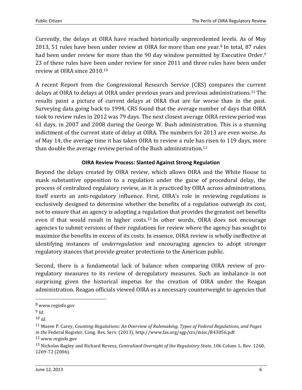Currently, the delays at OIRA have reached historically unprecedented levels. As of May 2013, 51 rules have been under review at OIRA for more than one year.<sup>8</sup> In total, 87 rules had been under review for more than the 90 day window permitted by Executive Order.<sup>9</sup> 23 of these rules have been under review for since 2011 and three rules have been under review at OIRA since 2010.<sup>10</sup>

A recent Report from the Congressional Research Service (CRS) compares the current delays at OIRA to delays at OIRA under previous years and previous administrations.<sup>11</sup> The results paint a picture of current delays at OIRA that are far worse than in the past. Surveying data going back to 1994, CRS found that the average number of days that OIRA took to review rules in 2012 was 79 days. The next closest average OIRA review period was 61 days, in 2007 and 2008 during the George W. Bush administration. This is a stunning indictment of the current state of delay at OIRA. The numbers for 2013 are even worse. As of May 14, the average time it has taken OIRA to review a rule has risen to 119 days, more than double the average review period of the Bush administration.<sup>12</sup>

#### **OIRA Review Process: Slanted Against Strong Regulation**

<span id="page-5-0"></span>Beyond the delays created by OIRA review, which allows OIRA and the White House to mask substantive opposition to a regulation under the guise of procedural delay, the process of centralized regulatory review, as it is practiced by OIRA across administrations, itself exerts an anti-regulatory influence. First, OIRA's role in reviewing regulations is exclusively designed to determine whether the benefits of a regulation outweigh its cost, not to ensure that an agency is adopting a regulation that provides the greatest net benefits even if that would result in higher costs.<sup>13</sup> In other words, OIRA does not encourage agencies to submit versions of their regulations for review where the agency has sought to maximize the benefits in excess of its costs. In essence, OIRA review is wholly ineffective at identifying instances of *underregulation* and encouraging agencies to adopt stronger regulatory stances that provide greater protections to the American public.

Second, there is a fundamental lack of balance when comparing OIRA review of proregulatory measures to its review of deregulatory measures. Such an imbalance is not surprising given the historical impetus for the creation of OIRA under the Reagan administration. Reagan officials viewed OIRA as a necessary counterweight to agencies that

<sup>8</sup> www.reginfo.gov

<sup>9</sup> *Id*.

 $10$  *Id*.

<sup>11</sup> Maeve P. Carey, *Counting Regulations: An Overview of Rulemaking, Types of Federal Regulations, and Pages in the* Federal Register, Cong. Res. Serv. (2013), http://www.fas.org/sgp/crs/misc/R43056.pdf

<sup>12</sup> www.reginfo.gov

<sup>13</sup> Nicholas Bagley and Richard Revesz, *Centralized Oversight of the Regulatory State*, 106 Colum. L. Rev. 1260, 1269-72 (2006).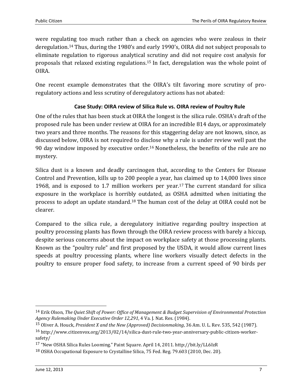were regulating too much rather than a check on agencies who were zealous in their deregulation.<sup>14</sup> Thus, during the 1980's and early 1990's, OIRA did not subject proposals to eliminate regulation to rigorous analytical scrutiny and did not require cost analysis for proposals that relaxed existing regulations.<sup>15</sup> In fact, deregulation was the whole point of OIRA.

One recent example demonstrates that the OIRA's tilt favoring more scrutiny of proregulatory actions and less scrutiny of deregulatory actions has not abated:

## <span id="page-6-0"></span>**Case Study: OIRA review of Silica Rule vs. OIRA review of Poultry Rule**

One of the rules that has been stuck at OIRA the longest is the silica rule. OSHA's draft of the proposed rule has been under review at OIRA for an incredible 814 days, or approximately two years and three months. The reasons for this staggering delay are not known, since, as discussed below, OIRA is not required to disclose why a rule is under review well past the 90 day window imposed by executive order.<sup>16</sup> Nonetheless, the benefits of the rule are no mystery.

Silica dust is a known and deadly carcinogen that, according to the Centers for Disease Control and Prevention, kills up to 200 people a year, has claimed up to 14,000 lives since 1968, and is exposed to 1.7 million workers per year.<sup>17</sup> The current standard for silica exposure in the workplace is horribly outdated, as OSHA admitted when initiating the process to adopt an update standard.<sup>18</sup> The human cost of the delay at OIRA could not be clearer.

Compared to the silica rule, a deregulatory initiative regarding poultry inspection at poultry processing plants has flown through the OIRA review process with barely a hiccup, despite serious concerns about the impact on workplace safety at those processing plants. Known as the "poultry rule" and first proposed by the USDA, it would allow current lines speeds at poultry processing plants, where line workers visually detect defects in the poultry to ensure proper food safety, to increase from a current speed of 90 birds per

l

<sup>14</sup> Erik Olson, *The Quiet Shift of Power: Office of Management & Budget Supervision of Environmental Protection Agency Rulemaking Under Executive Order 12,291*, 4 Va. J. Nat. Res. (1984).

<sup>15</sup> Oliver A. Houck, *President X and the New (Approved) Decisionmaking*, 36 Am. U. L. Rev. 535, 542 (1987).

<sup>16</sup> http://www.citizenvox.org/2013/02/14/silica-dust-rule-two-year-anniversary-public-citizen-workersafety/

<sup>17</sup> "New OSHA Silica Rules Looming." Paint Square. April 14, 2011. http://bit.ly/LL6IzR

<sup>18</sup> OSHA Occupational Exposure to Crystalline Silica, 75 Fed. Reg. 79.603 (2010, Dec. 20).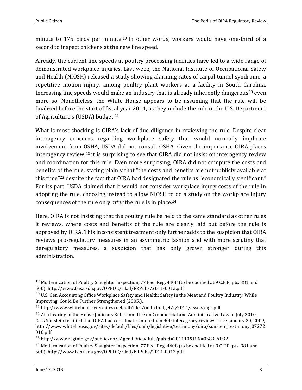minute to 175 birds per minute.<sup>19</sup> In other words, workers would have one-third of a second to inspect chickens at the new line speed.

Already, the current line speeds at poultry processing facilities have led to a wide range of demonstrated workplace injuries. Last week, the National Institute of Occupational Safety and Health (NIOSH) released a study showing alarming rates of carpal tunnel syndrome, a repetitive motion injury, among poultry plant workers at a facility in South Carolina. Increasing line speeds would make an industry that is already inherently dangerous<sup>20</sup> even more so. Nonetheless, the White House appears to be assuming that the rule will be finalized before the start of fiscal year 2014, as they include the rule in the U.S. Department of Agriculture's (USDA) budget.<sup>21</sup>

What is most shocking is OIRA's lack of due diligence in reviewing the rule. Despite clear interagency concerns regarding workplace safety that would normally implicate involvement from OSHA, USDA did not consult OSHA. Given the importance OIRA places interagency review, <sup>22</sup> it is surprising to see that OIRA did not insist on interagency review and coordination for this rule. Even more surprising, OIRA did not compute the costs and benefits of the rule, stating plainly that "the costs and benefits are not publicly available at this time"<sup>23</sup> despite the fact that OIRA had designated the rule as "economically significant." For its part, USDA claimed that it would not consider workplace injury costs of the rule in adopting the rule, choosing instead to allow NIOSH to do a study on the workplace injury consequences of the rule only *after* the rule is in place.<sup>24</sup>

Here, OIRA is not insisting that the poultry rule be held to the same standard as other rules it reviews, where costs and benefits of the rule are clearly laid out before the rule is approved by OIRA. This inconsistent treatment only further adds to the suspicion that OIRA reviews pro-regulatory measures in an asymmetric fashion and with more scrutiny that deregulatory measures, a suspicion that has only grown stronger during this administration.

 $\overline{a}$ 

<sup>19</sup> Modernization of Poultry Slaughter Inspection, 77 Fed. Reg. 4408 (to be codified at 9 C.F.R. pts. 381 and 500), http://www.fsis.usda.gov/OPPDE/rdad/FRPubs/2011-0012.pdf

<sup>&</sup>lt;sup>20</sup> U.S. Gen Accounting Office Workplace Safety and Health: Safety in the Meat and Poultry Industry, While Improving, Could Be Further Strengthened (2005,).

<sup>21</sup> http://www.whitehouse.gov/sites/default/files/omb/budget/fy2014/assets/agr.pdf

<sup>&</sup>lt;sup>22</sup> At a hearing of the House Judiciary Subcommittee on Commercial and Administrative Law in July 2010, Cass Sunstein testified that OIRA had coordinated more than 900 interagency reviews since January 20, 2009, http://www.whitehouse.gov/sites/default/files/omb/legislative/testimony/oira/sunstein\_testimony\_07272 010.pdf

<sup>23</sup> http://www.reginfo.gov/public/do/eAgendaViewRule?pubId=201110&RIN=0583-AD32

<sup>24</sup> Modernization of Poultry Slaughter Inspection, 77 Fed. Reg. 4408 (to be codified at 9 C.F.R. pts. 381 and 500), http://www.fsis.usda.gov/OPPDE/rdad/FRPubs/2011-0012.pdf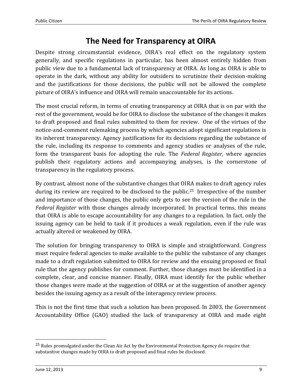## **The Need for Transparency at OIRA**

<span id="page-8-0"></span>Despite strong circumstantial evidence, OIRA's real effect on the regulatory system generally, and specific regulations in particular, has been almost entirely hidden from public view due to a fundamental lack of transparency at OIRA. As long as OIRA is able to operate in the dark, without any ability for outsiders to scrutinize their decision-making and the justifications for those decisions, the public will not be allowed the complete picture of OIRA's influence and OIRA will remain unaccountable for its actions.

The most crucial reform, in terms of creating transparency at OIRA that is on par with the rest of the government, would be for OIRA to disclose the substance of the changes it makes to draft proposed and final rules submitted to them for review. One of the virtues of the notice-and-comment rulemaking process by which agencies adopt significant regulations is its inherent transparency. Agency justifications for its decisions regarding the substance of the rule, including its response to comments and agency studies or analyses of the rule, form the transparent basis for adopting the rule. The *Federal Register*, where agencies publish their regulatory actions and accompanying analyses, is the cornerstone of transparency in the regulatory process.

By contrast, almost none of the substantive changes that OIRA makes to draft agency rules during its review are required to be disclosed to the public.<sup>25</sup> Irrespective of the number and importance of those changes, the public only gets to see the version of the rule in the *Federal Register* with those changes already incorporated. In practical terms, this means that OIRA is able to escape accountability for any changes to a regulation. In fact, only the issuing agency can be held to task if it produces a weak regulation, even if the rule was actually altered or weakened by OIRA.

The solution for bringing transparency to OIRA is simple and straightforward. Congress must require federal agencies to make available to the public the substance of any changes made to a draft regulation submitted to OIRA for review and the ensuing proposed or final rule that the agency publishes for comment. Further, those changes must be identified in a complete, clear, and concise manner. Finally, OIRA must identify for the public whether those changes were made at the suggestion of OIRA or at the suggestion of another agency besides the issuing agency as a result of the interagency review process.

This is not the first time that such a solution has been proposed. In 2003, the Government Accountability Office (GAO) studied the lack of transparency at OIRA and made eight

<sup>&</sup>lt;sup>25</sup> Rules promulgated under the Clean Air Act by the Environmental Protection Agency do require that substantive changes made by OIRA to draft proposed and final rules be disclosed.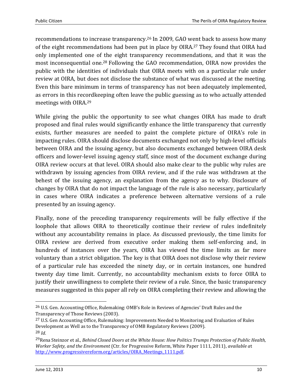recommendations to increase transparency.<sup>26</sup> In 2009, GAO went back to assess how many of the eight recommendations had been put in place by OIRA.<sup>27</sup> They found that OIRA had only implemented one of the eight transparency recommendations, and that it was the most inconsequential one.<sup>28</sup> Following the GAO recommendation, OIRA now provides the public with the identities of individuals that OIRA meets with on a particular rule under review at OIRA, but does not disclose the substance of what was discussed at the meeting. Even this bare minimum in terms of transparency has not been adequately implemented, as errors in this recordkeeping often leave the public guessing as to who actually attended meetings with OIRA.<sup>29</sup>

While giving the public the opportunity to see what changes OIRA has made to draft proposed and final rules would significantly enhance the little transparency that currently exists, further measures are needed to paint the complete picture of OIRA's role in impacting rules. OIRA should disclose documents exchanged not only by high-level officials between OIRA and the issuing agency, but also documents exchanged between OIRA desk officers and lower-level issuing agency staff, since most of the document exchange during OIRA review occurs at that level. OIRA should also make clear to the public why rules are withdrawn by issuing agencies from OIRA review, and if the rule was withdrawn at the behest of the issuing agency, an explanation from the agency as to why. Disclosure of changes by OIRA that do not impact the language of the rule is also necessary, particularly in cases where OIRA indicates a preference between alternative versions of a rule presented by an issuing agency.

Finally, none of the preceding transparency requirements will be fully effective if the loophole that allows OIRA to theoretically continue their review of rules indefinitely without any accountability remains in place. As discussed previously, the time limits for OIRA review are derived from executive order making them self-enforcing and, in hundreds of instances over the years, OIRA has viewed the time limits as far more voluntary than a strict obligation. The key is that OIRA does not disclose why their review of a particular rule has exceeded the ninety day, or in certain instances, one hundred twenty day time limit. Currently, no accountability mechanism exists to force OIRA to justify their unwillingness to complete their review of a rule. Since, the basic transparency measures suggested in this paper all rely on OIRA completing their review and allowing the

l

<sup>26</sup> U.S. Gen. Accounting Office, Rulemaking: OMB's Role in Reviews of Agencies' Draft Rules and the Transparency of Those Reviews (2003).

<sup>27</sup> U.S. Gen Accounting Office, Rulemaking: Improvements Needed to Monitoring and Evaluation of Rules Development as Well as to the Transparency of OMB Regulatory Reviews (2009). 28 *Id*.

<sup>29</sup>Rena Steinzor et al., *Behind Closed Doors at the White House: How Politics Trumps Protection of Public Health, Worker Safety, and the Environment* (Ctr. for Progressive Reform, White Paper 1111, 2011), *available a*t [http://www.progressivereform.org/articles/OIRA\\_Meetings\\_1111.pdf.](http://www.progressivereform.org/articles/OIRA_Meetings_1111.pdf)